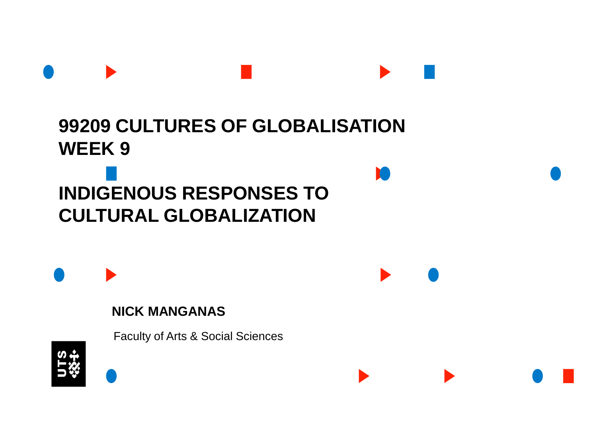## **99209 CULTURES OF GLOBALISATION WEEK 9 INDIGENOUS RESPONSES TO CULTURAL GLOBALIZATION**

#### **NICK MANGANAS**



Faculty of Arts & Social Sciences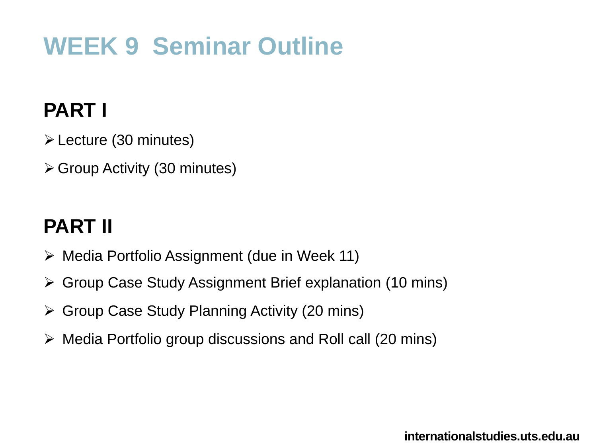## **WEEK 9 Seminar Outline**

## **PART I**

- ➢Lecture (30 minutes)
- ➢Group Activity (30 minutes)

### **PART II**

- ➢ Media Portfolio Assignment (due in Week 11)
- ➢ Group Case Study Assignment Brief explanation (10 mins)
- ➢ Group Case Study Planning Activity (20 mins)
- ➢ Media Portfolio group discussions and Roll call (20 mins)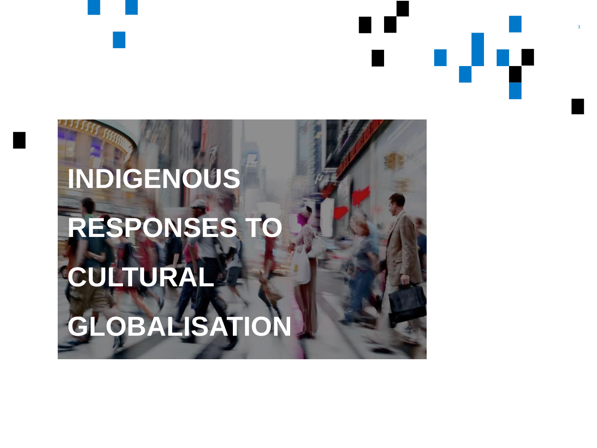## **INDIGENOUS RESPONSES TO CULTURAL GLOBALISATION**

3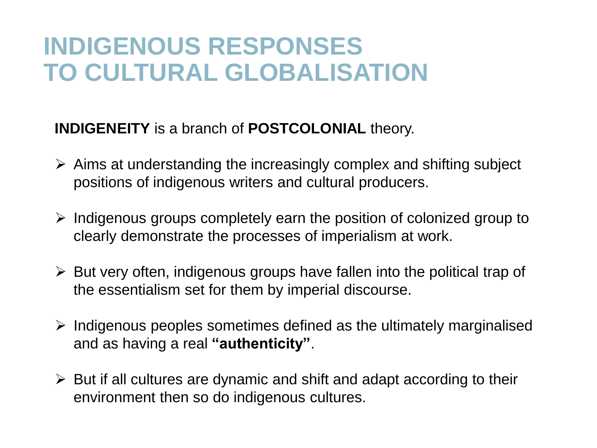## **INDIGENOUS RESPONSES TO CULTURAL GLOBALISATION**

**INDIGENEITY** is a branch of **POSTCOLONIAL** theory.

- $\triangleright$  Aims at understanding the increasingly complex and shifting subject positions of indigenous writers and cultural producers.
- $\triangleright$  Indigenous groups completely earn the position of colonized group to clearly demonstrate the processes of imperialism at work.
- ➢ But very often, indigenous groups have fallen into the political trap of the essentialism set for them by imperial discourse.
- $\triangleright$  Indigenous peoples sometimes defined as the ultimately marginalised and as having a real **"authenticity"**.
- $\triangleright$  But if all cultures are dynamic and shift and adapt according to their environment then so do indigenous cultures.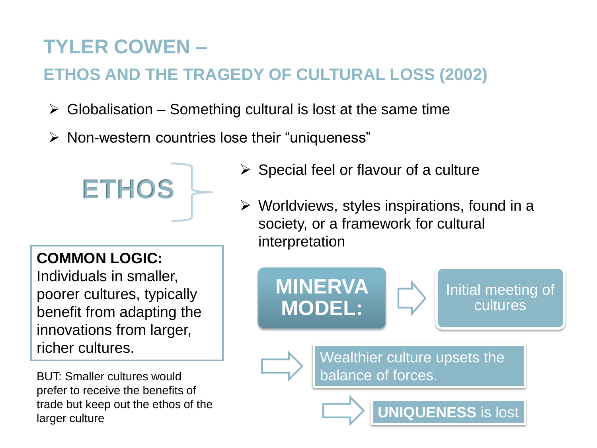## **TYLER COWEN –**

### **ETHOS AND THE TRAGEDY OF CULTURAL LOSS (2002)**

- $\triangleright$  Globalisation Something cultural is lost at the same time
- ➢ Non-western countries lose their "uniqueness"



#### **COMMON LOGIC:**

Individuals in smaller, poorer cultures, typically benefit from adapting the innovations from larger, richer cultures.

BUT: Smaller cultures would prefer to receive the benefits of trade but keep out the ethos of the larger culture

- $\triangleright$  Special feel or flavour of a culture
- $\triangleright$  Worldviews, styles inspirations, found in a society, or a framework for cultural interpretation



Wealthier culture upsets the balance of forces.

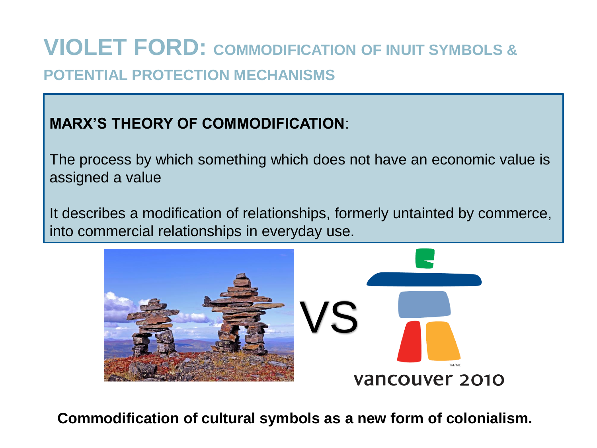## **VIOLET FORD: COMMODIFICATION OF INUIT SYMBOLS &**

#### **POTENTIAL PROTECTION MECHANISMS**

#### **MARX'S THEORY OF COMMODIFICATION**:

The process by which something which does not have an economic value is assigned a value

It describes a modification of relationships, formerly untainted by commerce, into commercial relationships in everyday use.



**Commodification of cultural symbols as a new form of colonialism.**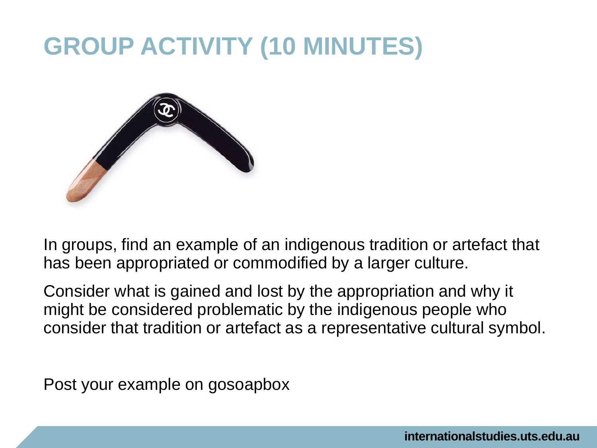## **GROUP ACTIVITY (10 MINUTES)**



In groups, find an example of an indigenous tradition or artefact that has been appropriated or commodified by a larger culture.

Consider what is gained and lost by the appropriation and why it might be considered problematic by the indigenous people who consider that tradition or artefact as a representative cultural symbol.

Post your example on gosoapbox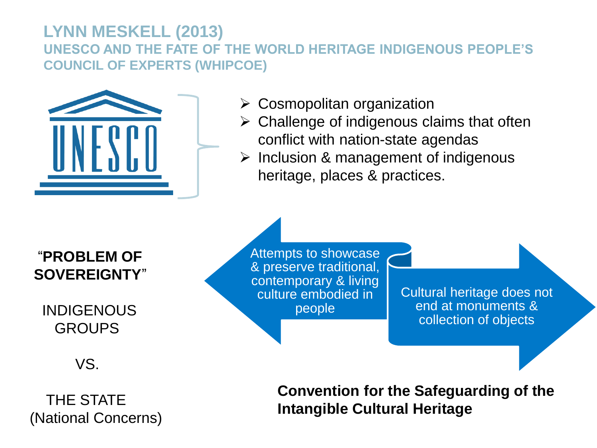#### **LYNN MESKELL (2013) UNESCO AND THE FATE OF THE WORLD HERITAGE INDIGENOUS PEOPLE'S COUNCIL OF EXPERTS (WHIPCOE)**



- $\triangleright$  Cosmopolitan organization
- $\triangleright$  Challenge of indigenous claims that often conflict with nation-state agendas
- ➢ Inclusion & management of indigenous heritage, places & practices.

#### "**PROBLEM OF SOVEREIGNTY**"

**INDIGENOUS GROUPS** 

VS.

THE STATE (National Concerns) Attempts to showcase & preserve traditional, contemporary & living culture embodied in people

Cultural heritage does not end at monuments & collection of objects

**Convention for the Safeguarding of the Intangible Cultural Heritage**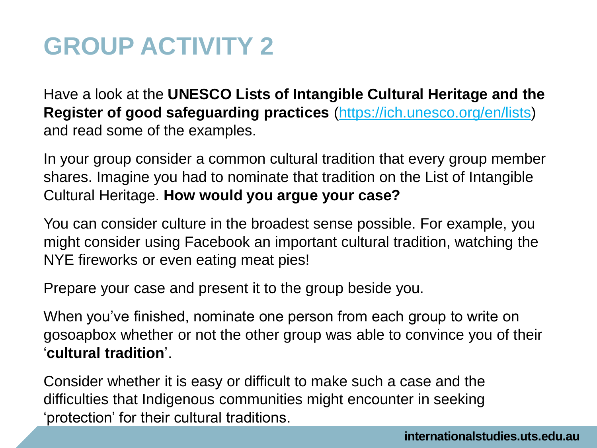## **GROUP ACTIVITY 2**

Have a look at the **UNESCO Lists of Intangible Cultural Heritage and the Register of good safeguarding practices** ([https://ich.unesco.org/en/lists\)](https://ich.unesco.org/en/lists) and read some of the examples.

In your group consider a common cultural tradition that every group member shares. Imagine you had to nominate that tradition on the List of Intangible Cultural Heritage. **How would you argue your case?** 

You can consider culture in the broadest sense possible. For example, you might consider using Facebook an important cultural tradition, watching the NYE fireworks or even eating meat pies!

Prepare your case and present it to the group beside you.

When you've finished, nominate one person from each group to write on gosoapbox whether or not the other group was able to convince you of their '**cultural tradition**'.

Consider whether it is easy or difficult to make such a case and the difficulties that Indigenous communities might encounter in seeking 'protection' for their cultural traditions.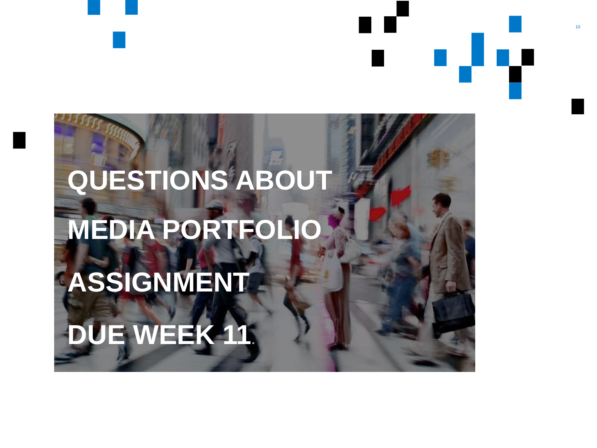## **QUESTIONS ABOUT . MEDIA PORTFOLIO ASSIGNMENT DUE WEEK 11.**

10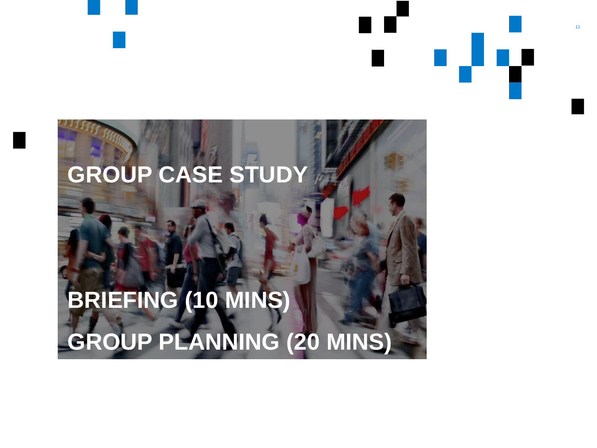# **GROUP CASE STUDY BRIEFING (10 MINS) GROUP PLANNING (20 MINS)**

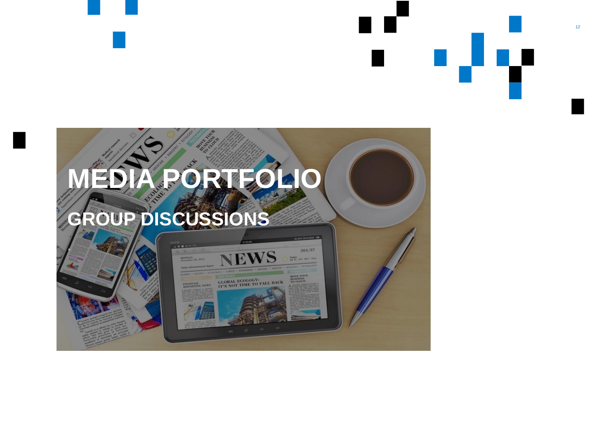

12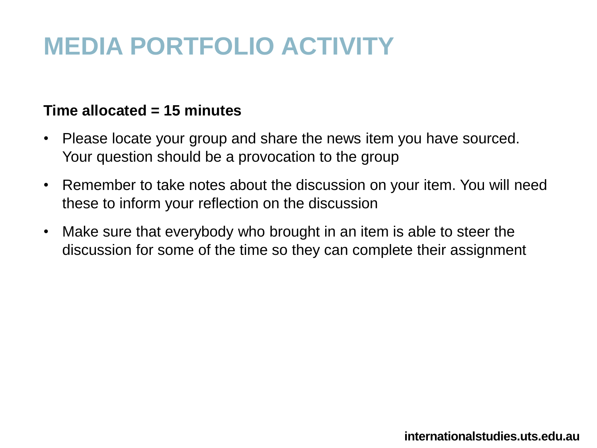## **MEDIA PORTFOLIO ACTIVITY**

#### **Time allocated = 15 minutes**

- Please locate your group and share the news item you have sourced. Your question should be a provocation to the group
- Remember to take notes about the discussion on your item. You will need these to inform your reflection on the discussion
- Make sure that everybody who brought in an item is able to steer the discussion for some of the time so they can complete their assignment